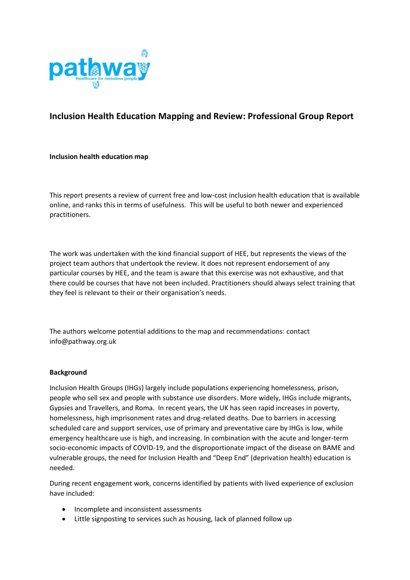

# **Inclusion Health Education Mapping and Review: Professional Group Report**

#### **Inclusion health education map**

This report presents a review of current free and low-cost inclusion health education that is available online, and ranks this in terms of usefulness. This will be useful to both newer and experienced practitioners.

The work was undertaken with the kind financial support of HEE, but represents the views of the project team authors that undertook the review. It does not represent endorsement of any particular courses by HEE, and the team is aware that this exercise was not exhaustive, and that there could be courses that have not been included. Practitioners should always select training that they feel is relevant to their or their organisation's needs.

The authors welcome potential additions to the map and recommendations: contact info@pathway.org.uk

#### **Background**

Inclusion Health Groups (IHGs) largely include populations experiencing homelessness, prison, people who sell sex and people with substance use disorders. More widely, IHGs include migrants, Gypsies and Travellers, and Roma. In recent years, the UK has seen rapid increases in poverty, homelessness, high imprisonment rates and drug-related deaths. Due to barriers in accessing scheduled care and support services, use of primary and preventative care by IHGs is low, while emergency healthcare use is high, and increasing. In combination with the acute and longer-term socio-economic impacts of COVID-19, and the disproportionate impact of the disease on BAME and vulnerable groups, the need for Inclusion Health and "Deep End" (deprivation health) education is needed.

During recent engagement work, concerns identified by patients with lived experience of exclusion have included:

- Incomplete and inconsistent assessments
- Little signposting to services such as housing, lack of planned follow up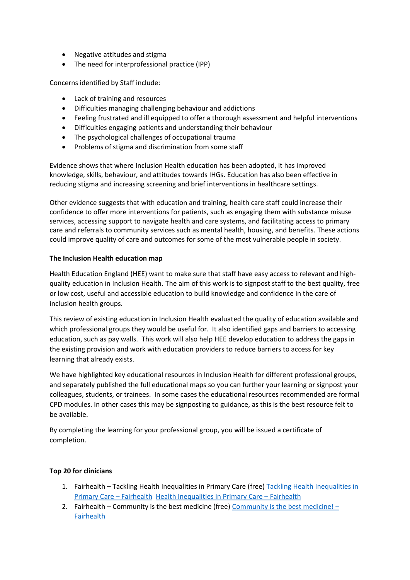- Negative attitudes and stigma
- The need for interprofessional practice (IPP)

Concerns identified by Staff include:

- Lack of training and resources
- Difficulties managing challenging behaviour and addictions
- Feeling frustrated and ill equipped to offer a thorough assessment and helpful interventions
- Difficulties engaging patients and understanding their behaviour
- The psychological challenges of occupational trauma
- Problems of stigma and discrimination from some staff

Evidence shows that where Inclusion Health education has been adopted, it has improved knowledge, skills, behaviour, and attitudes towards IHGs. Education has also been effective in reducing stigma and increasing screening and brief interventions in healthcare settings.

Other evidence suggests that with education and training, health care staff could increase their confidence to offer more interventions for patients, such as engaging them with substance misuse services, accessing support to navigate health and care systems, and facilitating access to primary care and referrals to community services such as mental health, housing, and benefits. These actions could improve quality of care and outcomes for some of the most vulnerable people in society.

#### **The Inclusion Health education map**

Health Education England (HEE) want to make sure that staff have easy access to relevant and highquality education in Inclusion Health. The aim of this work is to signpost staff to the best quality, free or low cost, useful and accessible education to build knowledge and confidence in the care of inclusion health groups.

This review of existing education in Inclusion Health evaluated the quality of education available and which professional groups they would be useful for. It also identified gaps and barriers to accessing education, such as pay walls. This work will also help HEE develop education to address the gaps in the existing provision and work with education providers to reduce barriers to access for key learning that already exists.

We have highlighted key educational resources in Inclusion Health for different professional groups, and separately published the full educational maps so you can further your learning or signpost your colleagues, students, or trainees. In some cases the educational resources recommended are formal CPD modules. In other cases this may be signposting to guidance, as this is the best resource felt to be available.

By completing the learning for your professional group, you will be issued a certificate of completion.

#### **Top 20 for clinicians**

- 1. Fairhealth Tackling Health Inequalities in Primary Care (free) [Tackling Health Inequalities in](https://fairhealth.org.uk/modules/tackling-health-inequalities-in-primary-care/)  [Primary Care](https://fairhealth.org.uk/modules/tackling-health-inequalities-in-primary-care/) – Fairhealth [Health Inequalities in Primary Care](https://fairhealth.org.uk/modules/health-inequalities-in-primary-care/) – Fairhealth
- 2. Fairhealth Community is the best medicine (free) [Community is the best medicine!](https://fairhealth.org.uk/modules/community-is-the-best-medicine/)  [Fairhealth](https://fairhealth.org.uk/modules/community-is-the-best-medicine/)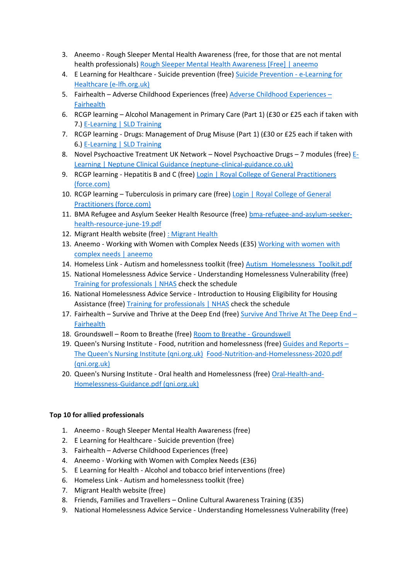- 3. Aneemo Rough Sleeper Mental Health Awareness (free, for those that are not mental health professionals) [Rough Sleeper Mental Health Awareness \[Free\] | aneemo](https://academy.aneemo.com/p/rough-sleeper-mental-health-awareness-free)
- 4. E Learning for Healthcare Suicide prevention (free) [Suicide Prevention -](https://www.e-lfh.org.uk/programmes/suicide-prevention/) e-Learning for [Healthcare \(e-lfh.org.uk\)](https://www.e-lfh.org.uk/programmes/suicide-prevention/)
- 5. Fairhealth Adverse Childhood Experiences (free) [Adverse Childhood Experiences](https://fairhealth.org.uk/modules/adverse-childhood-experiences/)  [Fairhealth](https://fairhealth.org.uk/modules/adverse-childhood-experiences/)
- 6. RCGP learning Alcohol Management in Primary Care (Part 1) (£30 or £25 each if taken with 7.) [E-Learning |](https://www.sldtraining.co.uk/e-learning) SLD Training
- 7. RCGP learning Drugs: Management of Drug Misuse (Part 1) (£30 or £25 each if taken with 6.) [E-Learning | SLD Training](https://www.sldtraining.co.uk/e-learning)
- 8. Novel Psychoactive Treatment UK Network Novel Psychoactive Drugs 7 modules (free) [E-](http://neptune-clinical-guidance.co.uk/e-learning/)[Learning | Neptune Clinical Guidance \(neptune-clinical-guidance.co.uk\)](http://neptune-clinical-guidance.co.uk/e-learning/)
- 9. RCGP learning Hepatitis B and C (free) Login | Royal College of General Practitioners [\(force.com\)](https://rcgpportal.force.com/rcgp_portal_login?startURL=%2Fidp%2Flogin%3Fapp%3D0sp0Y0000008OZf%26RelayState%3Dhttps%253A%252F%252Felearning.rcgp.org.uk%252Fcourse%252Fview.php%253Fid%253D279%26binding%3DHttpPost%26inresponseto%3D_e2017598517985c5294f3c1a6895b57c5b6744100f)
- 10. RCGP learning Tuberculosis in primary care (free) Login | Royal College of General [Practitioners \(force.com\)](https://rcgpportal.force.com/rcgp_portal_login?startURL=%2Fidp%2Flogin%3Fapp%3D0sp0Y0000008OZf%26RelayState%3Dhttps%253A%252F%252Felearning.rcgp.org.uk%252Fcourse%252Fview.php%253Fid%253D107%26binding%3DHttpPost%26inresponseto%3D_c37d7445c292ea33459dc8cc114f7137bb9630135e)
- 11. BMA Refugee and Asylum Seeker Health Resource (free) [bma-refugee-and-asylum-seeker](https://www.bma.org.uk/media/1838/bma-refugee-and-asylum-seeker-health-resource-june-19.pdf)[health-resource-june-19.pdf](https://www.bma.org.uk/media/1838/bma-refugee-and-asylum-seeker-health-resource-june-19.pdf)
- 12. Migrant Health website (free) [: Migrant Health](https://migrant.health/)
- 13. Aneemo Working with Women with Complex Needs (£35) [Working with women with](https://academy.aneemo.com/p/working-with-women-multiple-disadvantage)  [complex needs | aneemo](https://academy.aneemo.com/p/working-with-women-multiple-disadvantage)
- 14. Homeless Link Autism and homelessness toolkit (free) Autism Homelessness Toolkit.pdf
- 15. National Homelessness Advice Service Understanding Homelessness Vulnerability (free) [Training for professionals | NHAS](https://www.nhas.org.uk/training/webinars) check the schedule
- 16. National Homelessness Advice Service Introduction to Housing Eligibility for Housing Assistance (free) [Training for professionals | NHAS](https://www.nhas.org.uk/training/webinars) check the schedule
- 17. Fairhealth Survive and Thrive at the Deep End (free) [Survive And Thrive At The Deep End](https://fairhealth.org.uk/modules/survive-and-thrive-at-the-deep-end/)  [Fairhealth](https://fairhealth.org.uk/modules/survive-and-thrive-at-the-deep-end/)
- 18. Groundswell Room to Breathe (free) [Room to Breathe -](https://groundswell.org.uk/what-we-do/peer-research/room-to-breathe/#:~:text=Groundswell) Groundswell
- 19. Queen's Nursing Institute Food, nutrition and homelessness (free) [Guides and Reports](https://www.qni.org.uk/nursing-in-the-community/homeless-health-programme/homeless-health-guides-reports/)  [The Queen's Nursing Institute \(qni.org.uk\)](https://www.qni.org.uk/nursing-in-the-community/homeless-health-programme/homeless-health-guides-reports/) [Food-Nutrition-and-Homelessness-2020.pdf](https://www.qni.org.uk/wp-content/uploads/2020/07/Food-Nutrition-and-Homelessness-2020.pdf)  [\(qni.org.uk\)](https://www.qni.org.uk/wp-content/uploads/2020/07/Food-Nutrition-and-Homelessness-2020.pdf)
- 20. Queen's Nursing Institute Oral health and Homelessness (free) [Oral-Health-and-](https://www.qni.org.uk/wp-content/uploads/2016/09/Oral-Health-and-Homelessness-Guidance.pdf)[Homelessness-Guidance.pdf \(qni.org.uk\)](https://www.qni.org.uk/wp-content/uploads/2016/09/Oral-Health-and-Homelessness-Guidance.pdf)

## **Top 10 for allied professionals**

- 1. Aneemo Rough Sleeper Mental Health Awareness (free)
- 2. E Learning for Healthcare Suicide prevention (free)
- 3. Fairhealth Adverse Childhood Experiences (free)
- 4. Aneemo Working with Women with Complex Needs (£36)
- 5. E Learning for Health Alcohol and tobacco brief interventions (free)
- 6. Homeless Link Autism and homelessness toolkit (free)
- 7. Migrant Health website (free)
- 8. Friends, Families and Travellers Online Cultural Awareness Training (£35)
- 9. National Homelessness Advice Service Understanding Homelessness Vulnerability (free)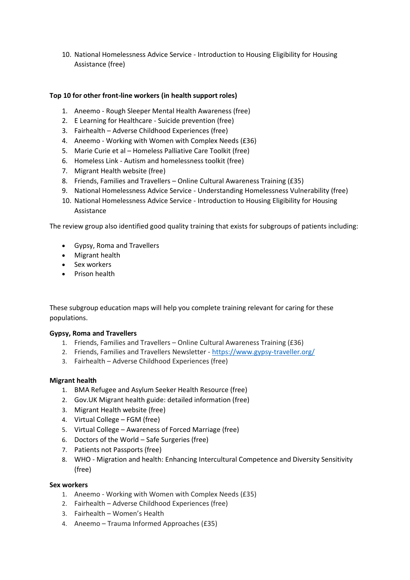10. National Homelessness Advice Service - Introduction to Housing Eligibility for Housing Assistance (free)

## **Top 10 for other front-line workers (in health support roles)**

- 1. Aneemo Rough Sleeper Mental Health Awareness (free)
- 2. E Learning for Healthcare Suicide prevention (free)
- 3. Fairhealth Adverse Childhood Experiences (free)
- 4. Aneemo Working with Women with Complex Needs (£36)
- 5. Marie Curie et al Homeless Palliative Care Toolkit (free)
- 6. Homeless Link Autism and homelessness toolkit (free)
- 7. Migrant Health website (free)
- 8. Friends, Families and Travellers Online Cultural Awareness Training (£35)
- 9. National Homelessness Advice Service Understanding Homelessness Vulnerability (free)
- 10. National Homelessness Advice Service Introduction to Housing Eligibility for Housing Assistance

The review group also identified good quality training that exists for subgroups of patients including:

- Gypsy, Roma and Travellers
- Migrant health
- Sex workers
- Prison health

These subgroup education maps will help you complete training relevant for caring for these populations.

## **Gypsy, Roma and Travellers**

- 1. Friends, Families and Travellers Online Cultural Awareness Training (£36)
- 2. Friends, Families and Travellers Newsletter <https://www.gypsy-traveller.org/>
- 3. Fairhealth Adverse Childhood Experiences (free)

#### **Migrant health**

- 1. BMA Refugee and Asylum Seeker Health Resource (free)
- 2. Gov.UK Migrant health guide: detailed information (free)
- 3. Migrant Health website (free)
- 4. Virtual College FGM (free)
- 5. Virtual College Awareness of Forced Marriage (free)
- 6. Doctors of the World Safe Surgeries (free)
- 7. Patients not Passports (free)
- 8. WHO Migration and health: Enhancing Intercultural Competence and Diversity Sensitivity (free)

#### **Sex workers**

- 1. Aneemo Working with Women with Complex Needs (£35)
- 2. Fairhealth Adverse Childhood Experiences (free)
- 3. Fairhealth Women's Health
- 4. Aneemo Trauma Informed Approaches (£35)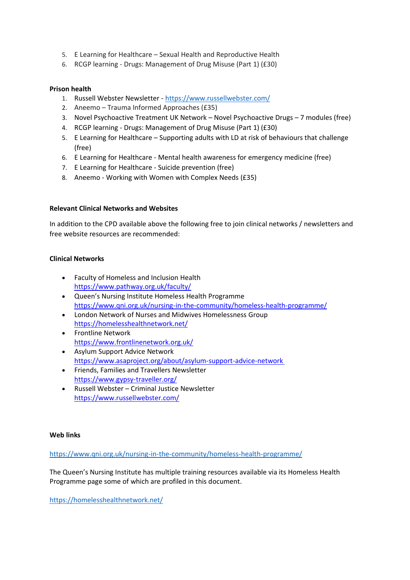- 5. E Learning for Healthcare Sexual Health and Reproductive Health
- 6. RCGP learning Drugs: Management of Drug Misuse (Part 1) (£30)

## **Prison health**

- 1. Russell Webster Newsletter <https://www.russellwebster.com/>
- 2. Aneemo Trauma Informed Approaches (£35)
- 3. Novel Psychoactive Treatment UK Network Novel Psychoactive Drugs 7 modules (free)
- 4. RCGP learning Drugs: Management of Drug Misuse (Part 1) (£30)
- 5. E Learning for Healthcare Supporting adults with LD at risk of behaviours that challenge (free)
- 6. E Learning for Healthcare Mental health awareness for emergency medicine (free)
- 7. E Learning for Healthcare Suicide prevention (free)
- 8. Aneemo Working with Women with Complex Needs (£35)

## **Relevant Clinical Networks and Websites**

In addition to the CPD available above the following free to join clinical networks / newsletters and free website resources are recommended:

## **Clinical Networks**

- Faculty of Homeless and Inclusion Health <https://www.pathway.org.uk/faculty/>
- Queen's Nursing Institute Homeless Health Programme <https://www.qni.org.uk/nursing-in-the-community/homeless-health-programme/>
- London Network of Nurses and Midwives Homelessness Group <https://homelesshealthnetwork.net/>
- Frontline Network <https://www.frontlinenetwork.org.uk/>
- Asylum Support Advice Network <https://www.asaproject.org/about/asylum-support-advice-network>
- Friends, Families and Travellers Newsletter <https://www.gypsy-traveller.org/>
- Russell Webster Criminal Justice Newsletter <https://www.russellwebster.com/>

## **Web links**

<https://www.qni.org.uk/nursing-in-the-community/homeless-health-programme/>

The Queen's Nursing Institute has multiple training resources available via its Homeless Health Programme page some of which are profiled in this document.

<https://homelesshealthnetwork.net/>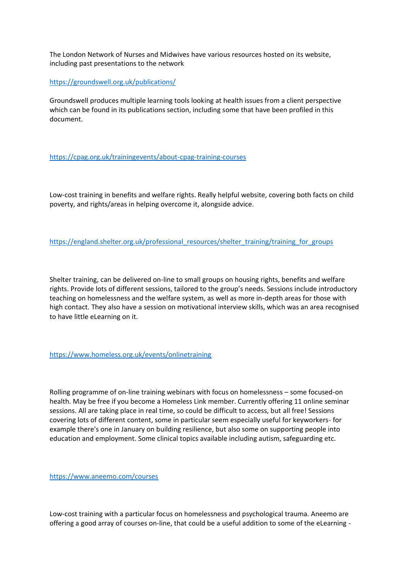The London Network of Nurses and Midwives have various resources hosted on its website, including past presentations to the network

<https://groundswell.org.uk/publications/>

Groundswell produces multiple learning tools looking at health issues from a client perspective which can be found in its publications section, including some that have been profiled in this document.

## <https://cpag.org.uk/trainingevents/about-cpag-training-courses>

Low-cost training in benefits and welfare rights. Really helpful website, covering both facts on child poverty, and rights/areas in helping overcome it, alongside advice.

[https://england.shelter.org.uk/professional\\_resources/shelter\\_training/training\\_for\\_groups](https://england.shelter.org.uk/professional_resources/shelter_training/training_for_groups)

Shelter training, can be delivered on-line to small groups on housing rights, benefits and welfare rights. Provide lots of different sessions, tailored to the group's needs. Sessions include introductory teaching on homelessness and the welfare system, as well as more in-depth areas for those with high contact. They also have a session on motivational interview skills, which was an area recognised to have little eLearning on it.

#### <https://www.homeless.org.uk/events/onlinetraining>

Rolling programme of on-line training webinars with focus on homelessness – some focused-on health. May be free if you become a Homeless Link member. Currently offering 11 online seminar sessions. All are taking place in real time, so could be difficult to access, but all free! Sessions covering lots of different content, some in particular seem especially useful for keyworkers- for example there's one in January on building resilience, but also some on supporting people into education and employment. Some clinical topics available including autism, safeguarding etc.

<https://www.aneemo.com/courses>

Low-cost training with a particular focus on homelessness and psychological trauma. Aneemo are offering a good array of courses on-line, that could be a useful addition to some of the eLearning -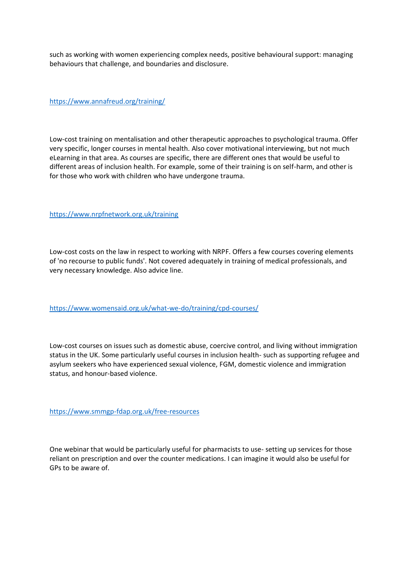such as working with women experiencing complex needs, positive behavioural support: managing behaviours that challenge, and boundaries and disclosure.

<https://www.annafreud.org/training/>

Low-cost training on mentalisation and other therapeutic approaches to psychological trauma. Offer very specific, longer courses in mental health. Also cover motivational interviewing, but not much eLearning in that area. As courses are specific, there are different ones that would be useful to different areas of inclusion health. For example, some of their training is on self-harm, and other is for those who work with children who have undergone trauma.

<https://www.nrpfnetwork.org.uk/training>

Low-cost costs on the law in respect to working with NRPF. Offers a few courses covering elements of 'no recourse to public funds'. Not covered adequately in training of medical professionals, and very necessary knowledge. Also advice line.

<https://www.womensaid.org.uk/what-we-do/training/cpd-courses/>

Low-cost courses on issues such as domestic abuse, coercive control, and living without immigration status in the UK. Some particularly useful courses in inclusion health- such as supporting refugee and asylum seekers who have experienced sexual violence, FGM, domestic violence and immigration status, and honour-based violence.

<https://www.smmgp-fdap.org.uk/free-resources>

One webinar that would be particularly useful for pharmacists to use- setting up services for those reliant on prescription and over the counter medications. I can imagine it would also be useful for GPs to be aware of.